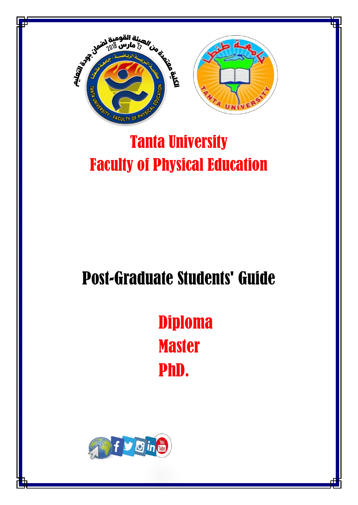



# Tanta University Faculty of Physical Education

# Post-Graduate Students' Guide

Diploma **Master** PhD.

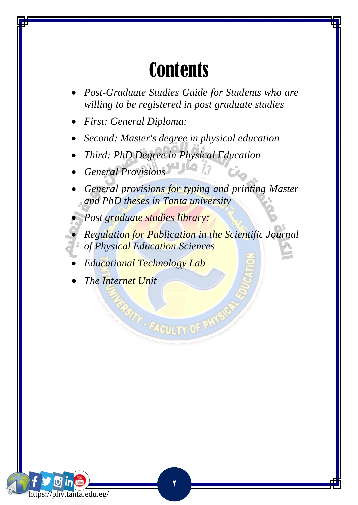# **Contents**

- *Post-Graduate Studies Guide for Students who are willing to be registered in post graduate studies*
- *First: General Diploma:*
- *Second: Master's degree in physical education*
- *Third: PhD Degree in Physical Education*
- *General Provisions*
- *General provisions for typing and printing Master and PhD theses in Tanta university*
- *Post graduate studies library:*
- *Regulation for Publication in the Scientific Journal of Physical Education Sciences*

**TAY- FACULTY OF PW** 

- *Educational Technology Lab*
- *The Internet Unit*

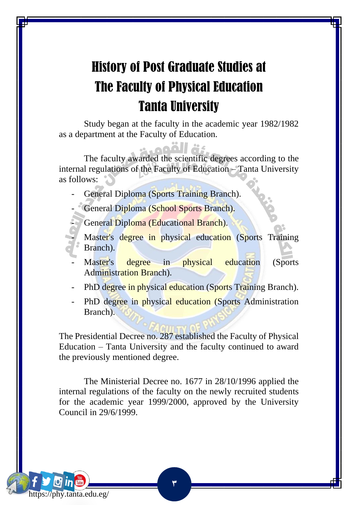# History of Post Graduate Studies at The Faculty of Physical Education Tanta University

Study began at the faculty in the academic year 1982/1982 as a department at the Faculty of Education.

The faculty awarded the scientific degrees according to the internal regulations of the Faculty of Education – Tanta University as follows:

General Diploma (Sports Training Branch).

General Diploma (School Sports Branch).

General Diploma (Educational Branch).

Master's degree in physical education (Sports Training Branch).

Master's degree in physical education (Sports Administration Branch).

- PhD degree in physical education (Sports Training Branch).

PhD degree in physical education (Sports Administration Branch).

The Presidential Decree no. 287 established the Faculty of Physical Education – Tanta University and the faculty continued to award the previously mentioned degree.

The Ministerial Decree no. 1677 in 28/10/1996 applied the internal regulations of the faculty on the newly recruited students for the academic year 1999/2000, approved by the University Council in 29/6/1999.

**3**

https://phy.tanta.edu.eg/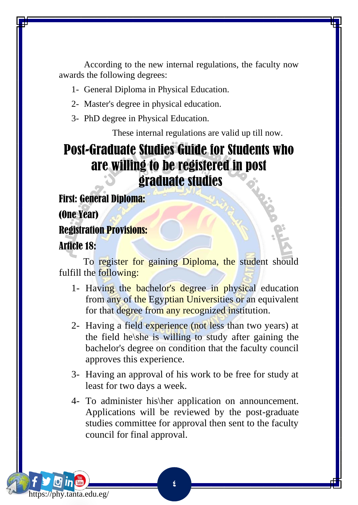According to the new internal regulations, the faculty now awards the following degrees:

- 1- General Diploma in Physical Education.
- 2- Master's degree in physical education.
- 3- PhD degree in Physical Education.

These internal regulations are valid up till now.

### Post-Graduate Studies Guide for Students who are willing to be registered in post graduate studies

First: General Diploma:

(One Year)

Registration Provisions:

#### Article 18:

https://phy.tanta.edu.eg/

To register for gaining Diploma, the student should fulfill the following:

- 1- Having the bachelor's degree in physical education from any of the Egyptian Universities or an equivalent for that degree from any recognized institution.
- 2- Having a field experience (not less than two years) at the field he\she is willing to study after gaining the bachelor's degree on condition that the faculty council approves this experience.
- 3- Having an approval of his work to be free for study at least for two days a week.
- 4- To administer his\her application on announcement. Applications will be reviewed by the post-graduate studies committee for approval then sent to the faculty council for final approval.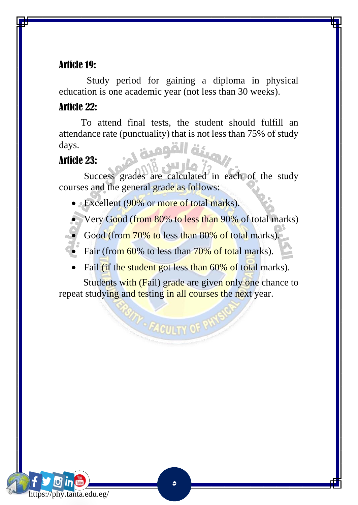#### Article 19:

 Study period for gaining a diploma in physical education is one academic year (not less than 30 weeks).

#### Article 22:

 To attend final tests, the student should fulfill an attendance rate (punctuality) that is not less than 75% of study days.

#### Article 23:

 Success grades are calculated in each of the study courses and the general grade as follows:

• Excellent (90% or more of total marks).

• Very Good (from 80% to less than 90% of total marks)

Good (from 70% to less than 80% of total marks).

Fair (from 60% to less than 70% of total marks).

Fail (if the student got less than 60% of total marks).

Students with (Fail) grade are given only one chance to repeat studying and testing in all courses the next year.

**TAY-FACULTY OF PW** 

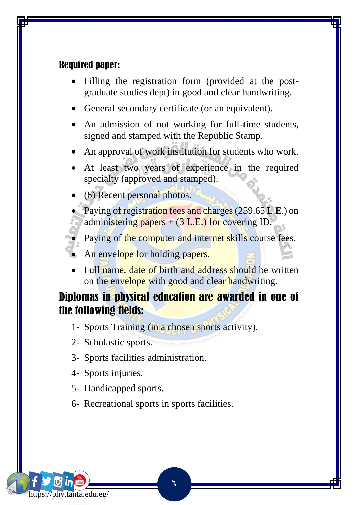#### Required paper:

- Filling the registration form (provided at the postgraduate studies dept) in good and clear handwriting.
- General secondary certificate (or an equivalent).
- An admission of not working for full-time students, signed and stamped with the Republic Stamp.
- An approval of work institution for students who work.
- At least two years of experience in the required specialty (approved and stamped).
- (6) Recent personal photos.

Paying of registration fees and charges (259.65 L.E.) on administering papers  $+$  (3 L.E.) for covering ID.

Paying of the computer and internet skills course fees.

- An envelope for holding papers.
- Full name, date of birth and address should be written on the envelope with good and clear handwriting.

#### Diplomas in physical education are awarded in one of the following fields:

1- Sports Training (in a chosen sports activity).

- 2- Scholastic sports.
- 3- Sports facilities administration.
- 4- Sports injuries.
- 5- Handicapped sports.
- 6- Recreational sports in sports facilities.

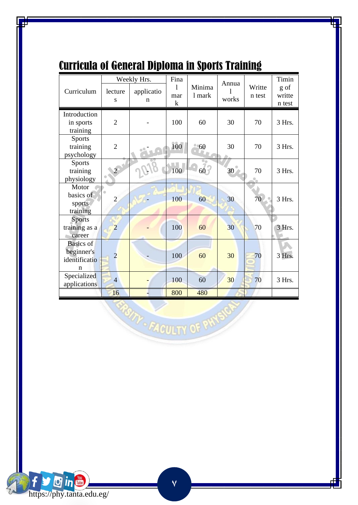|                                                      |                | Weekly Hrs.     | Fina          |                  | Annua |                  | Timin                    |
|------------------------------------------------------|----------------|-----------------|---------------|------------------|-------|------------------|--------------------------|
| Curriculum                                           | lecture<br>S   | applicatio<br>n | 1<br>mar<br>k | Minima<br>1 mark | works | Writte<br>n test | g of<br>writte<br>n test |
| Introduction<br>in sports<br>training                | $\overline{2}$ |                 | 100           | 60               | 30    | 70               | 3 Hrs.                   |
| <b>Sports</b><br>training<br>psychology              | $\overline{2}$ |                 | 100           | 60               | 30    | 70               | 3 Hrs.                   |
| <b>Sports</b><br>training<br>physiology              | $\overline{2}$ |                 | 100           | $60^{\degree}$   | 30    | 70               | 3 Hrs.                   |
| Motor<br>basics of<br>sports<br>training             | $\overline{2}$ |                 | 100           | 60               | 30    | 70               | 3 Hrs.                   |
| <b>Sports</b><br>training as a<br>career             | $\overline{2}$ |                 | 100           | 60               | 30    | 70               | 3 Hrs.                   |
| <b>Basics</b> of<br>beginner's<br>identificatio<br>n | $\overline{2}$ |                 | 100           | 60               | 30    | 70               | 3 Hrs.                   |
| Specialized<br>applications                          | $\overline{4}$ |                 | 100           | 60               | 30    | 70               | 3 Hrs.                   |
|                                                      | 16             |                 | 800           | 480              |       |                  |                          |

### Curricula of General Diploma in Sports Training



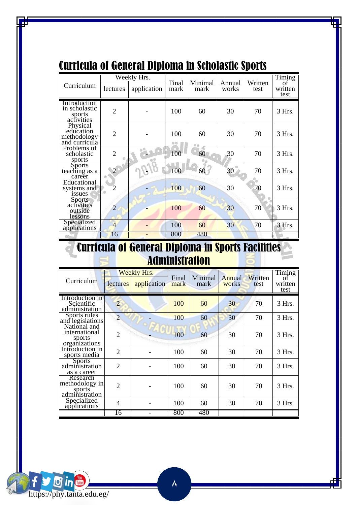|                                                       |                | Weekly Hrs. |                 |                 |                 |                 | Timing                |
|-------------------------------------------------------|----------------|-------------|-----------------|-----------------|-----------------|-----------------|-----------------------|
| Curriculum                                            | lectures       | application | Final<br>mark   | Minimal<br>mark | Annual<br>works | Written<br>test | οf<br>written<br>test |
| Introduction<br>in scholastic<br>sports<br>activities | $\overline{2}$ |             | 100             | 60              | 30              | 70              | 3 Hrs.                |
| Physical<br>education<br>methodology<br>and curricula | $\overline{2}$ |             | 100<br>00<br>题自 | 60              | 30              | 70              | 3 Hrs.                |
| Problems of<br>scholastic<br>sports                   | $\overline{2}$ |             | 100             | 60              | 30              | 70              | $3$ Hrs.              |
| <b>Sports</b><br>teaching as a<br>career              | $\mathcal{D}$  |             | 100             | 60              | 30              | 70              | $3$ Hrs.              |
| Educational<br>systems and<br><i>issues</i>           | 2              |             | 100             | 60              | 30              | 70              | 3 Hrs.                |
| <b>Sports</b><br>activities<br>outside<br>lessons     | $\overline{2}$ |             | 100             | 60              | 30              | 70              | 3 Hrs.                |
| Specialized<br>applications                           | 4              |             | 100             | 60              | 30              | 70              | 3 Hrs.                |
|                                                       | 16             |             | 800             | 480             |                 |                 |                       |

### Curricula of General Diploma in Scholastic Sports

#### Curricula of General Diploma in Sports Facilities a Administration

| Curriculum                                               | lectures       | Weekly Hrs.<br>application | Final<br>mark | Minimal<br>mark | Annual<br>works | Written<br>test | Timing<br>of<br>written<br>test |
|----------------------------------------------------------|----------------|----------------------------|---------------|-----------------|-----------------|-----------------|---------------------------------|
|                                                          |                |                            |               |                 |                 |                 |                                 |
| Introduction in<br>Scientific<br>administration          | $\overline{2}$ |                            | 100           | 60              | 30              | 70              | $3$ Hrs.                        |
| Sports rules<br>and legislations                         | $\overline{2}$ |                            | 100           | 60              | 30              | 70              | 3 Hrs.                          |
| National and<br>international<br>sports<br>organizations | $\overline{2}$ |                            | 100           | 60              | 30              | 70              | 3 Hrs.                          |
| Introduction in<br>sports media                          | $\overline{2}$ |                            | 100           | 60              | 30              | 70              | $3$ Hrs.                        |
| <b>Sports</b><br>administration<br>as a career           | $\overline{2}$ |                            | 100           | 60              | 30              | 70              | 3 Hrs.                          |
| Research<br>methodology in<br>sports<br>administration   | $\mathfrak{D}$ |                            | 100           | 60              | 30              | 70              | $3$ Hrs.                        |
| Specialized<br>applications                              | 4              |                            | 100           | 60              | 30              | 70              | $3$ Hrs.                        |
|                                                          | 16             | ۰                          | 800           | 480             |                 |                 |                                 |

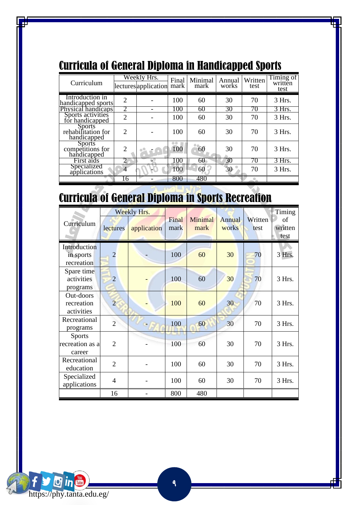| Curriculum                                         |                | Weekly Hrs.<br>lectures application mark | Final     | Minimal<br>mark | Annual<br>works | Written<br>test | Timing of<br>written<br>test |
|----------------------------------------------------|----------------|------------------------------------------|-----------|-----------------|-----------------|-----------------|------------------------------|
| Introduction in<br>handicapped sports              | $\overline{2}$ |                                          | 100       | 60              | 30              | 70              | 3 Hrs.                       |
| Physical handicaps                                 |                |                                          | 100       | 60              | 30              | 70              | 3 Hrs.                       |
| Sports activities<br>for handicapped               | $\overline{2}$ |                                          | 100       | 60              | 30              | 70              | 3 Hrs.                       |
| <b>Sports</b><br>rehabilitation for<br>handicapped | $\mathfrak{D}$ |                                          | 100       | 60              | 30              | 70              | 3 Hrs.                       |
| <b>Sports</b><br>competitions for<br>handicapped   | $\mathfrak{D}$ |                                          | 曲曲<br>100 | 60              | 30              | 70              | 3 Hrs.                       |
| First aids                                         |                |                                          | 100       | 60              | 30              | 70              | 3 Hrs.                       |
| Specialized<br>applications                        |                |                                          | 100       | 60              | 30              | 70              | 3 Hrs.                       |
|                                                    | 16             |                                          | 800       | 480             |                 |                 |                              |

### Curricula of General Diploma in Handicapped Sports

# Curricula of General Diploma in Sports Recreation

| Curriculum                                 | lectures       | Weekly Hrs.<br>application | Final<br>mark | Minimal<br>mark | Annual<br>works | Written<br>test | Timing<br>of<br>written<br>test |
|--------------------------------------------|----------------|----------------------------|---------------|-----------------|-----------------|-----------------|---------------------------------|
| Introduction<br>in sports<br>recreation    | $\overline{2}$ |                            | 100           | 60              | 30              | 70              | 3 Hrs.                          |
| Spare time<br>activities<br>programs       | $\overline{2}$ |                            | 100           | 60              | 30              | 70              | 3 Hrs.                          |
| Out-doors<br>recreation<br>activities      | $\overline{2}$ |                            | 100           | 60              | 30              | 70              | 3 Hrs.                          |
| Recreational<br>programs                   | $\overline{2}$ |                            | 100           | 60              | 30              | 70              | 3 Hrs.                          |
| <b>Sports</b><br>recreation as a<br>career | $\overline{2}$ |                            | 100           | 60              | 30              | 70              | 3 Hrs.                          |
| Recreational<br>education                  | $\overline{2}$ |                            | 100           | 60              | 30              | 70              | 3 Hrs.                          |
| Specialized<br>applications                | 4              |                            | 100           | 60              | 30              | 70              | 3 Hrs.                          |
|                                            | 16             |                            | 800           | 480             |                 |                 |                                 |

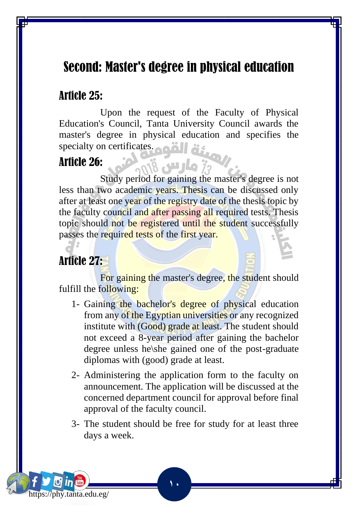### Second: Master's degree in physical education

#### Article 25:

 Upon the request of the Faculty of Physical Education's Council, Tanta University Council awards the master's degree in physical education and specifies the specialty on certificates.

#### Article 26:

 Study period for gaining the master's degree is not less than two academic years. Thesis can be discussed only after at least one year of the registry date of the thesis topic by the faculty council and after passing all required tests. Thesis topic should not be registered until the student successfully passes the required tests of the first year.

### Article 27:

https://phy.tanta.edu.eg/

For gaining the master's degree, the student should fulfill the following:

- 1- Gaining the bachelor's degree of physical education from any of the Egyptian universities or any recognized institute with (Good) grade at least. The student should not exceed a 8-year period after gaining the bachelor degree unless he\she gained one of the post-graduate diplomas with (good) grade at least.
- 2- Administering the application form to the faculty on announcement. The application will be discussed at the concerned department council for approval before final approval of the faculty council.
- 3- The student should be free for study for at least three days a week.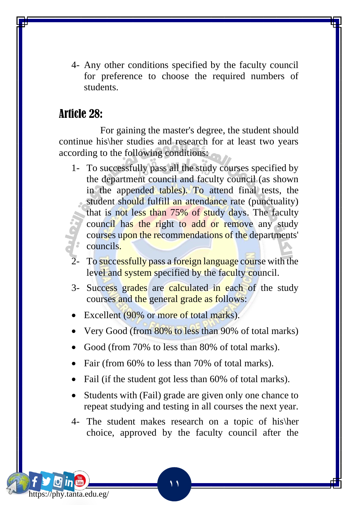4- Any other conditions specified by the faculty council for preference to choose the required numbers of students.

#### Article 28:

https://phy.tanta.edu.eg/

 For gaining the master's degree, the student should continue his\her studies and research for at least two years according to the following conditions:

- 1- To successfully pass all the study courses specified by the department council and faculty council (as shown in the appended tables). To attend final tests, the student should fulfill an attendance rate (punctuality) that is not less than 75% of study days. The faculty council has the right to add or remove any study courses upon the recommendations of the departments' councils.
- To successfully pass a foreign language course with the level and system specified by the faculty council.
- 3- Success grades are calculated in each of the study courses and the general grade as follows:
- Excellent (90% or more of total marks).
- Very Good (from 80% to less than 90% of total marks)
- Good (from 70% to less than 80% of total marks).
- Fair (from 60% to less than 70% of total marks).
- Fail (if the student got less than 60% of total marks).
- Students with (Fail) grade are given only one chance to repeat studying and testing in all courses the next year.
- 4- The student makes research on a topic of his\her choice, approved by the faculty council after the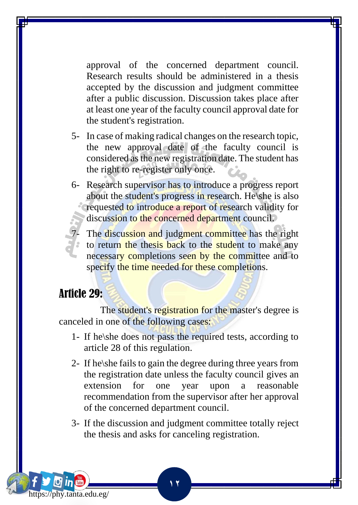approval of the concerned department council. Research results should be administered in a thesis accepted by the discussion and judgment committee after a public discussion. Discussion takes place after at least one year of the faculty council approval date for the student's registration.

- 5- In case of making radical changes on the research topic, the new approval date of the faculty council is considered as the new registration date. The student has the right to re-register only once.
- 6- Research supervisor has to introduce a progress report about the student's progress in research. He\she is also requested to introduce a report of research validity for discussion to the concerned department council.
	- The discussion and judgment committee has the right to return the thesis back to the student to make any necessary completions seen by the committee and to specify the time needed for these completions.

#### Article 29:

https://phy.tanta.edu.eg/

The student's registration for the master's degree is canceled in one of the following cases:

- 1- If he\she does not pass the required tests, according to article 28 of this regulation.
- 2- If he\she fails to gain the degree during three years from the registration date unless the faculty council gives an extension for one year upon a reasonable recommendation from the supervisor after her approval of the concerned department council.
- 3- If the discussion and judgment committee totally reject the thesis and asks for canceling registration.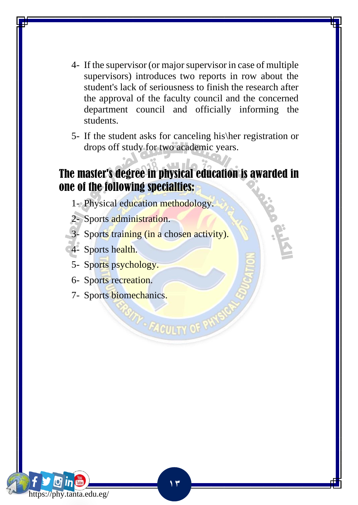- 4- If the supervisor (or major supervisor in case of multiple supervisors) introduces two reports in row about the student's lack of seriousness to finish the research after the approval of the faculty council and the concerned department council and officially informing the students.
- 5- If the student asks for canceling his\her registration or drops off study for two academic years.

### The master's degree in physical education is awarded in one of the following specialties:

- 1- Physical education methodology.
- 2- Sports administration.
- 3- Sports training (in a chosen activity).
- 4- Sports health.
- 5- Sports psychology.
- 6- Sports recreation.
- 7- Sports biomechanics.



**P. FACULTY OF P**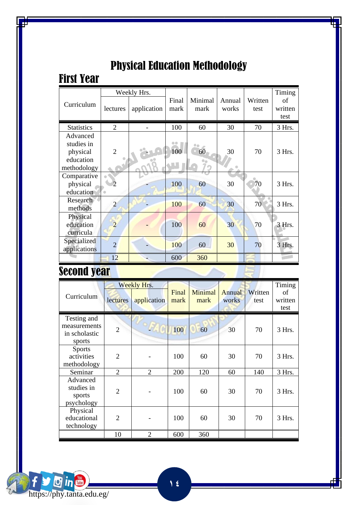|                   |                          | Weekly Hrs. |       |         |        |         | Timing   |
|-------------------|--------------------------|-------------|-------|---------|--------|---------|----------|
| Curriculum        |                          |             | Final | Minimal | Annual | Written | of       |
|                   | lectures                 | application | mark  | mark    | works  | test    | written  |
|                   |                          |             |       |         |        |         | test     |
| <b>Statistics</b> | $\overline{2}$           |             | 100   | 60      | 30     | 70      | 3 Hrs.   |
| Advanced          |                          |             |       |         |        |         |          |
| studies in        |                          |             |       |         |        |         |          |
| physical          | $\overline{2}$           |             | 100   | 60      | 30     | 70      | $3$ Hrs. |
| education         |                          |             |       |         |        |         |          |
| methodology       |                          |             |       |         | 0b     |         |          |
| Comparative       |                          |             |       |         |        |         |          |
| physical          |                          |             | 100   | 60      | 30     | 70      | $3$ Hrs. |
| education         |                          |             |       |         |        |         |          |
| Research          | $\overline{\mathcal{L}}$ |             | 100   | 60      | 30     | 70      | 3 Hrs.   |
| methods           |                          |             |       |         |        |         |          |
| Physical          |                          |             |       |         |        |         |          |
| education         | 2                        |             | 100   | 60      | 30     | 70      | 3 Hrs.   |
| curricula         |                          |             |       |         |        |         |          |
| Specialized       | $\overline{\mathcal{L}}$ |             | 100   | 60      | 30     | 70      | 3 Hrs.   |
| applications      |                          |             |       |         |        |         |          |
|                   | 12                       |             | 600   | 360     |        |         |          |

### Physical Education Methodology

### Second year

First Year

| Curriculum                                             | lectures       | Weekly Hrs.<br>application | Final<br>mark | Minimal<br>mark | Annual<br>works | Written<br>test | Timing<br>of<br>written<br>test |
|--------------------------------------------------------|----------------|----------------------------|---------------|-----------------|-----------------|-----------------|---------------------------------|
| Testing and<br>measurements<br>in scholastic<br>sports | $\overline{2}$ |                            | 100           | 60              | 30              | 70              | 3 Hrs.                          |
| <b>Sports</b><br>activities<br>methodology             | $\overline{c}$ |                            | 100           | 60              | 30              | 70              | $3$ Hrs.                        |
| Seminar                                                | $\overline{2}$ | $\overline{2}$             | 200           | 120             | 60              | 140             | 3 Hrs.                          |
| Advanced<br>studies in<br>sports<br>psychology         | $\overline{2}$ |                            | 100           | 60              | 30              | 70              | 3 Hrs.                          |
| Physical<br>educational<br>technology                  | $\mathfrak{D}$ |                            | 100           | 60              | 30              | 70              | 3 Hrs.                          |
|                                                        | 10             | $\overline{2}$             | 600           | 360             |                 |                 |                                 |

 $\mathbf{\Theta}$  in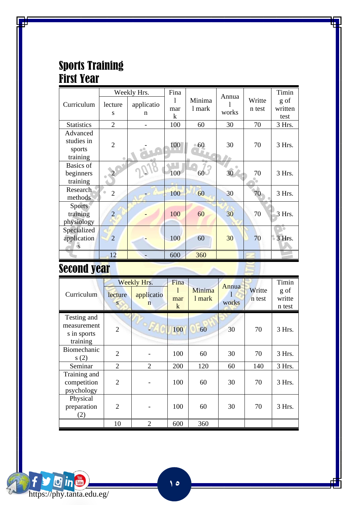#### Sports Training First Year

|                                              |                | Weekly Hrs.     | Fina     |                  | Annua |                  | Timin           |
|----------------------------------------------|----------------|-----------------|----------|------------------|-------|------------------|-----------------|
| Curriculum                                   | lecture<br>S   | applicatio<br>n | 1<br>mar | Minima<br>1 mark | works | Writte<br>n test | g of<br>written |
|                                              |                |                 | k        |                  |       |                  | test            |
| <b>Statistics</b>                            | $\overline{2}$ |                 | 100      | 60               | 30    | 70               | 3 Hrs.          |
| Advanced<br>studies in<br>sports<br>training | $\overline{2}$ |                 | 100      | 60               | 30    | 70               | 3 Hrs.          |
| Basics of<br>beginners<br>training           |                |                 | 100      | 60               | 30    | 70               | 3 Hrs.          |
| Research<br>methods                          | $\overline{2}$ |                 | 100      | 60               | 30    | 70               | 3 Hrs.          |
| <b>Sports</b><br>training<br>physiology      | $\overline{2}$ |                 | 100      | 60               | 30    | 70               | 3 Hrs.          |
| Specialized<br>application<br>S              | $\overline{2}$ |                 | 100      | 60               | 30    | 70               | 3 Hrs.          |
|                                              | 12             |                 | 600      | 360              |       |                  |                 |

### Second year

| Curriculum                                            | lecture<br>S.  | Weekly Hrs.<br>applicatio<br>n | Fina<br>mar<br>$\mathbf{k}$ | Minima<br>1 mark | Annua<br>works | Writte<br>n test | Timin<br>g of<br>writte<br>n test |
|-------------------------------------------------------|----------------|--------------------------------|-----------------------------|------------------|----------------|------------------|-----------------------------------|
| Testing and<br>measurement<br>s in sports<br>training | $\overline{2}$ |                                | 100                         | 60               | 30             | 70               | $3$ Hrs.                          |
| Biomechanic<br>s(2)                                   | $\overline{2}$ |                                | 100                         | 60               | 30             | 70               | $3$ Hrs.                          |
| Seminar                                               | $\overline{2}$ | $\overline{2}$                 | 200                         | 120              | 60             | 140              | 3 Hrs.                            |
| Training and<br>competition<br>psychology             | $\overline{2}$ |                                | 100                         | 60               | 30             | 70               | 3 Hrs.                            |
| Physical<br>preparation<br>(2)                        | $\overline{2}$ |                                | 100                         | 60               | 30             | 70               | $3$ Hrs.                          |
|                                                       | 10             | $\overline{2}$                 | 600                         | 360              |                |                  |                                   |

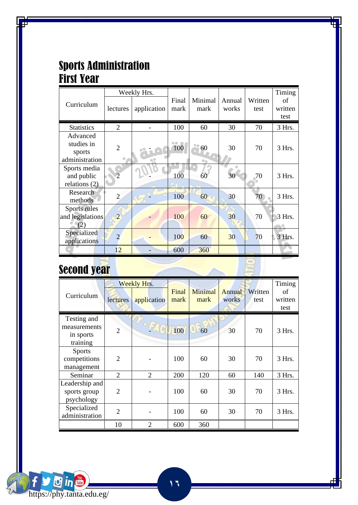#### Sports Administration First Year

|                                                    |                | Weekly Hrs. |               |                 |                 |                 | Timing                |
|----------------------------------------------------|----------------|-------------|---------------|-----------------|-----------------|-----------------|-----------------------|
| Curriculum                                         | lectures       | application | Final<br>mark | Minimal<br>mark | Annual<br>works | Written<br>test | of<br>written<br>test |
| <b>Statistics</b>                                  | 2              |             | 100           | 60              | 30              | 70              | 3 Hrs.                |
| Advanced<br>studies in<br>sports<br>administration | $\overline{2}$ |             | 96<br>100     | 60              | 30              | 70              | 3 Hrs.                |
| Sports media<br>and public<br>relations $(2)$      | $\overline{c}$ |             | 100           | 60              | 30              | .70             | 3 Hrs.                |
| Research<br>methods                                | $\overline{c}$ |             | 100           | 60              | 30              | 70              | 3 Hrs.                |
| Sports rules<br>and legislations<br>(2)            | $\overline{2}$ |             | 100           | 60              | 30              | 70              | 3 Hrs.                |
| Specialized<br>applications                        | $\overline{2}$ |             | 100           | 60              | 30              | 70              | 3 Hrs.                |
|                                                    | 12             |             | 600           | 360             |                 |                 |                       |

# Second year

https://phy.tanta.edu.eg/

**O** in

f

| Curriculum                                           | lectures       | Weekly Hrs.<br>application | Final<br>mark | Minimal<br>mark | Annual<br>works | Written<br>test | Timing<br>οf<br>written<br>test |
|------------------------------------------------------|----------------|----------------------------|---------------|-----------------|-----------------|-----------------|---------------------------------|
| Testing and<br>measurements<br>in sports<br>training | $\overline{2}$ |                            | 100           | 60              | 30              | 70              | 3 Hrs.                          |
| <b>Sports</b><br>competitions<br>management          | $\overline{2}$ |                            | 100           | 60              | 30              | 70              | $3$ Hrs.                        |
| Seminar                                              | $\overline{2}$ | $\overline{2}$             | 200           | 120             | 60              | 140             | 3 Hrs.                          |
| Leadership and<br>sports group<br>psychology         | $\overline{2}$ |                            | 100           | 60              | 30              | 70              | $3$ Hrs.                        |
| Specialized<br>administration                        | $\overline{2}$ |                            | 100           | 60              | 30              | 70              | 3 Hrs.                          |
|                                                      | 10             | $\overline{2}$             | 600           | 360             |                 |                 |                                 |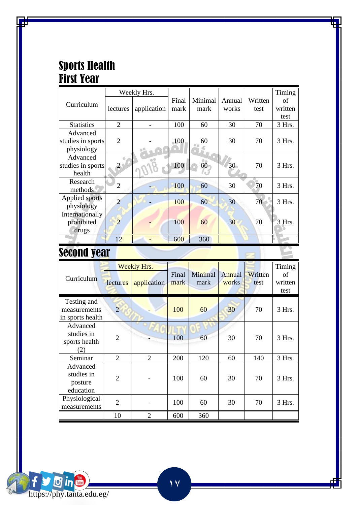### Sports Health First Year

|                   |                | Weekly Hrs. |            |              |        |         | Timing  |
|-------------------|----------------|-------------|------------|--------------|--------|---------|---------|
| Curriculum        |                |             | Final      | Minimal      | Annual | Written | of      |
|                   | lectures       | application | mark       | mark         | works  | test    | written |
|                   |                |             |            |              |        |         | test    |
| <b>Statistics</b> | 2              |             | 100        | 60           | 30     | 70      | 3 Hrs.  |
| Advanced          |                |             |            |              |        |         |         |
| studies in sports | $\overline{c}$ |             | <b>100</b> | 60           | 30     | 70      | 3 Hrs.  |
| physiology        |                | o°          |            |              |        |         |         |
| Advanced          |                |             |            |              |        |         |         |
| studies in sports | 2 <sup>3</sup> |             | 100        | $60^{\circ}$ | 30     | 70      | 3 Hrs.  |
| health            |                |             |            |              |        |         |         |
| Research          | $\overline{c}$ |             | 100        | 60           | 30     | 70      | 3 Hrs.  |
| methods           |                |             |            |              |        |         |         |
| Applied sports    | 2              |             | 100        | 60           | 30     | 70      | 3 Hrs.  |
| physiology        |                |             |            |              |        |         |         |
| Internationally   |                |             |            |              |        |         |         |
| prohibited        | 2              |             | 100        | 60           | 30     | 70      | 3 Hrs.  |
| drugs             |                |             |            |              |        |         |         |
|                   | 12             |             | 600        | 360          |        |         |         |

### Second year

|                                                 |                | Weekly Hrs.    |               |                 |                 |                 | Timing                |
|-------------------------------------------------|----------------|----------------|---------------|-----------------|-----------------|-----------------|-----------------------|
| Curriculum                                      | lectures       | application    | Final<br>mark | Minimal<br>mark | Annual<br>works | Written<br>test | of<br>written<br>test |
| Testing and<br>measurements<br>in sports health | $\overline{2}$ |                | 100           | 60              | 30              | 70              | $3$ Hrs.              |
| Advanced<br>studies in<br>sports health<br>(2)  | $\overline{2}$ |                | 100           | 60              | 30              | 70              | $3$ Hrs.              |
| Seminar                                         | $\overline{2}$ | $\overline{2}$ | 200           | 120             | 60              | 140             | 3 Hrs.                |
| Advanced<br>studies in<br>posture<br>education  | $\mathfrak{D}$ |                | 100           | 60              | 30              | 70              | 3 Hrs.                |
| Physiological<br>measurements                   | $\overline{2}$ |                | 100           | 60              | 30              | 70              | $3$ Hrs.              |
|                                                 | 10             | $\overline{2}$ | 600           | 360             |                 |                 |                       |

 $\mathbb{R}$ 

 $\mathcal{L} = \mathcal{L}$ 

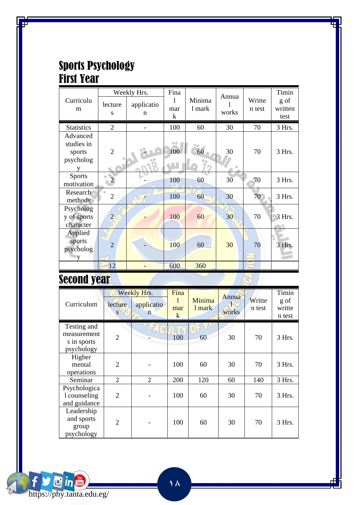#### Sports Psychology First Year

|                                               |                | Weekly Hrs.     | Fina                     |                  | Annua |                  | Timin                   |
|-----------------------------------------------|----------------|-----------------|--------------------------|------------------|-------|------------------|-------------------------|
| Curriculu<br>m                                | lecture<br>S   | applicatio<br>n | 1<br>mar<br>$\mathbf{k}$ | Minima<br>1 mark | works | Writte<br>n test | g of<br>written<br>test |
| <b>Statistics</b>                             | $\overline{c}$ |                 | 100                      | 60               | 30    | 70               | 3 Hrs.                  |
| Advanced<br>studies in<br>sports<br>psycholog | $\overline{2}$ |                 | 00<br>100                | 60               | 30    | 70               | 3 Hrs.                  |
| <b>Sports</b><br>motivation                   |                |                 | 100                      | 60               | 30    | 70               | 3 Hrs.                  |
| Research<br>methods                           | $\overline{c}$ |                 | 100                      | 60               | 30    | 70               | 3 Hrs.                  |
| Psycholog<br>y of sports<br>character         | $\overline{2}$ |                 | 100                      | 60               | 30    | 70               | 3 Hrs.                  |
| Applied<br>sports<br>psycholog                | $\overline{2}$ |                 | 100                      | 60               | 30    | 70               | 3 Hrs.                  |
|                                               | 12             |                 | 600                      | 360              |       |                  |                         |

### **Second year**

https://phy.tanta.edu.eg/

Oin

 $\mathbf{f}$ 

| Curriculum                                              | lecture<br>s   | Weekly Hrs.<br>applicatio<br>n | Fina<br>mar<br>$\bf k$ | Minima<br>1 mark | Annua<br>works | Writte<br>n test | Timin<br>g of<br>writte<br>n test |
|---------------------------------------------------------|----------------|--------------------------------|------------------------|------------------|----------------|------------------|-----------------------------------|
| Testing and<br>measurement<br>s in sports<br>psychology | $\overline{2}$ |                                | 100                    | 60               | 30             | 70               | 3 Hrs.                            |
| Higher<br>mental<br>operations                          | $\overline{2}$ |                                | 100                    | 60               | 30             | 70               | 3 Hrs.                            |
| Seminar                                                 | 2              | 2                              | 200                    | 120              | 60             | 140              | 3 Hrs.                            |
| Psychologica<br>1 counseling<br>and guidance            | $\overline{2}$ |                                | 100                    | 60               | 30             | 70               | 3 Hrs.                            |
| Leadership<br>and sports<br>group<br>psychology         | $\overline{2}$ |                                | 100                    | 60               | 30             | 70               | 3 Hrs.                            |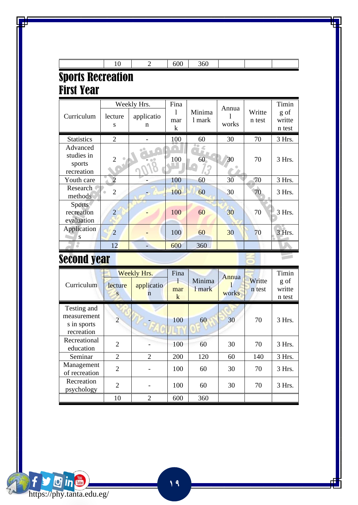|                                                | 10             | $\overline{2}$                 | 600                         | 360              |                |                  |                                   |
|------------------------------------------------|----------------|--------------------------------|-----------------------------|------------------|----------------|------------------|-----------------------------------|
| <b>Sports Recreation</b><br><b>First Year</b>  |                |                                |                             |                  |                |                  |                                   |
| Curriculum                                     | lecture<br>S   | Weekly Hrs.<br>applicatio<br>n | Fina<br>1<br>mar<br>$\bf k$ | Minima<br>1 mark | Annua<br>works | Writte<br>n test | Timin<br>g of<br>writte<br>n test |
| <b>Statistics</b>                              | $\overline{2}$ |                                | 100                         | 60               | 30             | 70               | 3 Hrs.                            |
| Advanced<br>studies in<br>sports<br>recreation | $\overline{2}$ |                                | 100                         | 60               | 30             | 70               | 3 Hrs.                            |
| Youth care                                     | $\overline{2}$ |                                | 100                         | 60               | 30             | 70               | 3 Hrs.                            |
| <b>Research</b><br>methods                     | $\overline{2}$ |                                | 100                         | 60               | 30             | 70               | 3 Hrs.                            |
| <b>Sports</b><br>recreation<br>evaluation      | $\overline{c}$ |                                | 100                         | 60               | 30             | 70               | 3 Hrs.                            |
| Application<br>S                               | $\overline{2}$ |                                | 100                         | 60               | 30             | 70               | 3 Hrs.                            |
|                                                | 12             | -                              | 600                         | 360              |                |                  |                                   |
| Yarand vaar                                    |                |                                |                             |                  |                |                  |                                   |

### Second year

| Curriculum                                              | lecture<br>S   | Weekly Hrs.<br>applicatio<br>n | Fina<br>mar<br>$\mathbf{k}$ | Minima<br>1 mark | Annua<br>works | Writte<br>n test | Timin<br>g of<br>writte<br>n test |
|---------------------------------------------------------|----------------|--------------------------------|-----------------------------|------------------|----------------|------------------|-----------------------------------|
| Testing and<br>measurement<br>s in sports<br>recreation | $\overline{2}$ |                                | 100                         | 60               | 30             | 70               | $3$ Hrs.                          |
| Recreational<br>education                               | $\overline{2}$ |                                | 100                         | 60               | 30             | 70               | 3 Hrs.                            |
| Seminar                                                 | $\mathfrak{D}$ | $\mathfrak{D}$                 | 200                         | 120              | 60             | 140              | 3 Hrs.                            |
| Management<br>of recreation                             | $\overline{2}$ |                                | 100                         | 60               | 30             | 70               | 3 Hrs.                            |
| Recreation<br>psychology                                | $\overline{2}$ |                                | 100                         | 60               | 30             | 70               | 3 Hrs.                            |
|                                                         | 10             | 2                              | 600                         | 360              |                |                  |                                   |

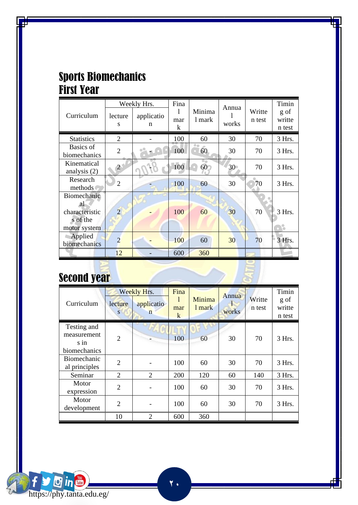### Sports Biomechanics **First Year**

|                                                                 |                | Weekly Hrs.     | Fina          |                  | Annua |                  | Timin                    |
|-----------------------------------------------------------------|----------------|-----------------|---------------|------------------|-------|------------------|--------------------------|
| Curriculum                                                      | lecture<br>S   | applicatio<br>n | 1<br>mar<br>k | Minima<br>1 mark | works | Writte<br>n test | g of<br>writte<br>n test |
| <b>Statistics</b>                                               | 2              |                 | 100           | 60               | 30    | 70               | 3 Hrs.                   |
| Basics of<br>biomechanics                                       | $\overline{2}$ |                 | 100           | 60               | 30    | 70               | 3 Hrs.                   |
| Kinematical<br>analysis $(2)$                                   | $\overline{2}$ |                 | 100           | 60 <sub>1</sub>  | 30    | 70               | 3 Hrs.                   |
| Research<br>methods                                             | 2              |                 | 100           | 60               | 30    | 70               | 3 Hrs.                   |
| Biomechanic<br>al<br>characteristic<br>s of the<br>motor system | $\overline{2}$ |                 | 100           | 60               | 30    | 70               | 3 Hrs.                   |
| Applied<br>biomechanics                                         | $\overline{2}$ |                 | 100           | 60               | 30    | 70               | 3 Hrs.                   |
|                                                                 | 12             |                 | 600           | 360              |       |                  |                          |

## **Second year**

| Curriculum                                        | lecture<br>S   | Weekly Hrs.<br>applicatio<br>$\mathbf n$ | Fina<br>ı<br>mar<br>$\mathbf k$ | Minima<br>1 mark | Annua<br>г<br>works | Writte<br>n test | Timin<br>g of<br>writte<br>n test |
|---------------------------------------------------|----------------|------------------------------------------|---------------------------------|------------------|---------------------|------------------|-----------------------------------|
| Testing and<br>measurement<br>sin<br>biomechanics | $\overline{2}$ |                                          | 100                             | 60               | 30                  | 70               | 3 Hrs.                            |
| Biomechanic<br>al principles                      | $\overline{2}$ |                                          | 100                             | 60               | 30                  | 70               | 3 Hrs.                            |
| Seminar                                           | $\overline{2}$ | 2                                        | 200                             | 120              | 60                  | 140              | 3 Hrs.                            |
| Motor<br>expression                               | $\overline{2}$ |                                          | 100                             | 60               | 30                  | 70               | 3 Hrs.                            |
| Motor<br>development                              | 2              |                                          | 100                             | 60               | 30                  | 70               | 3 Hrs.                            |
|                                                   | 10             | $\mathcal{D}_{\mathcal{L}}$              | 600                             | 360              |                     |                  |                                   |

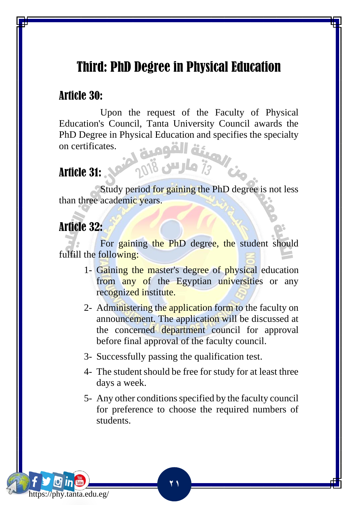### Third: PhD Degree in Physical Education

#### Article 30:

 Upon the request of the Faculty of Physical Education's Council, Tanta University Council awards the PhD Degree in Physical Education and specifies the specialty on certificates.

#### Article 31:

Study period for gaining the PhD degree is not less than three academic years.

onis plus is

#### Article 32:

https://phy.tanta.edu.eg/

For gaining the PhD degree, the student should fulfill the following:

- 1- Gaining the master's degree of physical education from any of the Egyptian universities or any recognized institute.
- 2- Administering the application form to the faculty on announcement. The application will be discussed at the concerned department council for approval before final approval of the faculty council.
- 3- Successfully passing the qualification test.

- 4- The student should be free for study for at least three days a week.
- 5- Any other conditions specified by the faculty council for preference to choose the required numbers of students.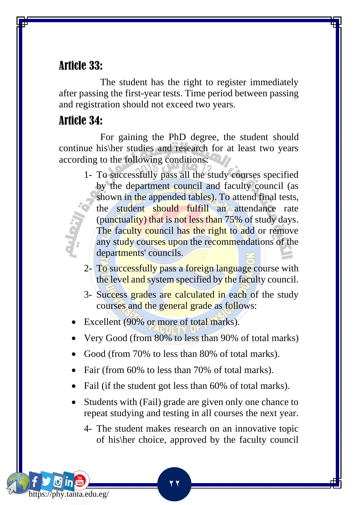#### Article 33:

 The student has the right to register immediately after passing the first-year tests. Time period between passing and registration should not exceed two years.

#### Article 34:

https://phy.tanta.edu.eg/

 For gaining the PhD degree, the student should continue his\her studies and research for at least two years according to the following conditions:

- 1- To successfully pass all the study courses specified by the department council and faculty council (as shown in the appended tables). To attend final tests, the student should fulfill an attendance rate (punctuality) that is not less than 75% of study days. The faculty council has the right to add or remove any study courses upon the recommendations of the departments' councils.
- 2- To successfully pass a foreign language course with the level and system specified by the faculty council.
- 3- Success grades are calculated in each of the study courses and the general grade as follows:
- Excellent (90% or more of total marks).
- Very Good (from 80% to less than 90% of total marks)
- Good (from 70% to less than 80% of total marks).
- Fair (from 60% to less than 70% of total marks).

- Fail (if the student got less than 60% of total marks).
- Students with (Fail) grade are given only one chance to repeat studying and testing in all courses the next year.
	- 4- The student makes research on an innovative topic of his\her choice, approved by the faculty council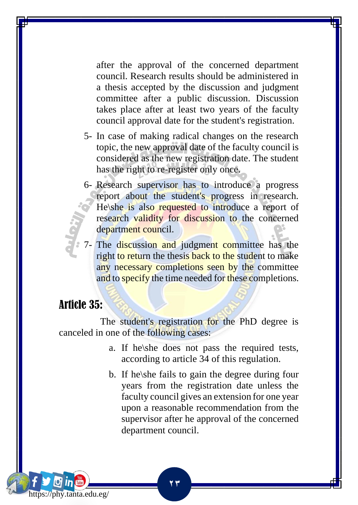after the approval of the concerned department council. Research results should be administered in a thesis accepted by the discussion and judgment committee after a public discussion. Discussion takes place after at least two years of the faculty council approval date for the student's registration.

- 5- In case of making radical changes on the research topic, the new approval date of the faculty council is considered as the new registration date. The student has the right to re-register only once.
- 6- Research supervisor has to introduce a progress report about the student's progress in research. He\she is also requested to introduce a report of research validity for discussion to the concerned department council.
- 7- The discussion and judgment committee has the right to return the thesis back to the student to make any necessary completions seen by the committee and to specify the time needed for these completions.

#### Article 35:

https://phy.tanta.edu.eg/

The student's registration for the PhD degree is canceled in one of the following cases:

- a. If he\she does not pass the required tests, according to article 34 of this regulation.
- b. If he\she fails to gain the degree during four years from the registration date unless the faculty council gives an extension for one year upon a reasonable recommendation from the supervisor after he approval of the concerned department council.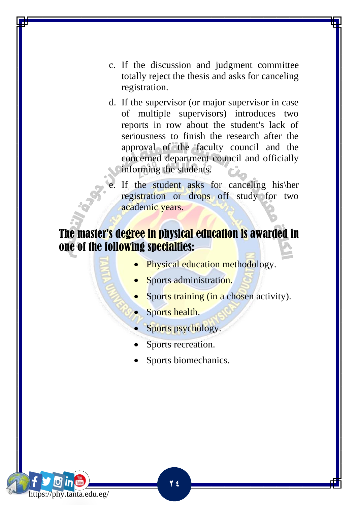- c. If the discussion and judgment committee totally reject the thesis and asks for canceling registration.
- d. If the supervisor (or major supervisor in case of multiple supervisors) introduces two reports in row about the student's lack of seriousness to finish the research after the approval of the faculty council and the concerned department council and officially informing the students.
	- If the student asks for canceling his\her registration or drops off study for two academic years.

#### The master's degree in physical education is awarded in one of the following specialties:

- Physical education methodology.
- Sports administration.
- Sports training (in a chosen activity).
- Sports health.
- Sports psychology.
- Sports recreation.
- Sports biomechanics.

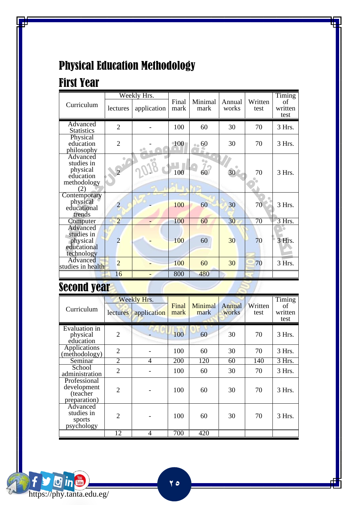### Physical Education Methodology

### First Year

|                                                                       |                | Weekly Hrs. |               |                       |                 |                 | Timing                |
|-----------------------------------------------------------------------|----------------|-------------|---------------|-----------------------|-----------------|-----------------|-----------------------|
| Curriculum                                                            | lectures       | application | Final<br>mark | Minimal<br>mark       | Annual<br>works | Written<br>test | of<br>written<br>test |
| Advanced<br><b>Statistics</b>                                         | $\overline{c}$ |             | 100           | 60                    | 30              | 70              | 3 Hrs.                |
| Physical<br>education<br>philosophy                                   | $\overline{2}$ |             | <b>100</b>    | $\bullet$ 60          | 30              | 70              | 3 Hrs.                |
| Advanced<br>studies in<br>physical<br>education<br>methodology<br>(2) | $\overline{2}$ |             | 100           | ₿ŵ<br>$\overline{60}$ | 30              | 70              | 3 Hrs.                |
| Contemporary<br>physical<br>educational<br>trends                     | 2              |             | 100           | 60                    | 30              | 70              | 3 Hrs.                |
| Computer                                                              | $\overline{2}$ |             | 100           | 60                    | 30              | 70              | 3 Hrs.                |
| Advanced<br>studies in<br>physical<br>educational<br>technology       | $\overline{c}$ |             | 100           | 60                    | 30              | 70              | 3 Hrs.                |
| Advanced<br>studies in health                                         | $\overline{2}$ |             | 100           | 60                    | 30              | 70              | 3 Hrs.                |
|                                                                       | 16             |             | 800           | 480                   |                 |                 |                       |

### **Second year**

|                                                         |                | Weekly Hrs.  |               |                 |                 |                 | Timing                |
|---------------------------------------------------------|----------------|--------------|---------------|-----------------|-----------------|-----------------|-----------------------|
| Curriculum                                              | lectures       | application  | Final<br>mark | Minimal<br>mark | Annual<br>works | Written<br>test | οf<br>written<br>test |
| Evaluation in<br>physical<br>education                  | $\overline{2}$ | <b>Chair</b> | 100           | 60              | 30              | 70              | 3 Hrs.                |
| Applications<br>(methodology)                           | $\overline{2}$ |              | 100           | 60              | 30              | 70              | 3 Hrs.                |
| Seminar                                                 | $\overline{2}$ | 4            | 200           | 120             | 60              | 140             | 3 Hrs.                |
| School<br>administration                                | $\overline{2}$ |              | 100           | 60              | 30              | 70              | 3 Hrs.                |
| Professional<br>development<br>(teacher<br>preparation) | $\overline{2}$ |              | 100           | 60              | 30              | 70              | 3 Hrs.                |
| Advanced<br>studies in<br>sports<br>psychology          | $\overline{2}$ |              | 100           | 60              | 30              | 70              | $3$ Hrs.              |
|                                                         | 12             | 4            | 700           | 420             |                 |                 |                       |

**O** in https://phy.tanta.edu.eg/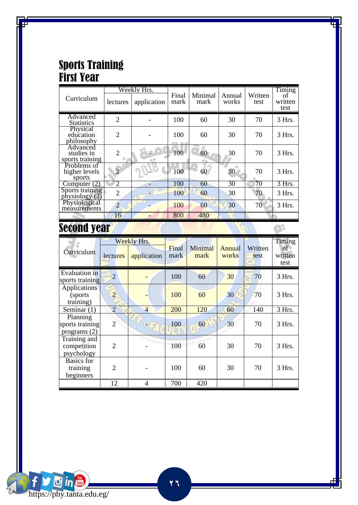#### Sports Training First Year

|                                           |                | Weekly Hrs. |               |                 |                 |                 | Timing                |
|-------------------------------------------|----------------|-------------|---------------|-----------------|-----------------|-----------------|-----------------------|
| Curriculum                                | lectures       | application | Final<br>mark | Minimal<br>mark | Annual<br>works | Written<br>test | of<br>written<br>test |
| Advanced<br><b>Statistics</b>             | $\overline{2}$ |             | 100           | 60              | 30              | 70              | 3 Hrs.                |
| Physical<br>education<br>philosophy       | $\overline{2}$ |             | 100           | 60              | 30              | 70              | $3$ Hrs.              |
| Advanced<br>studies in<br>sports training | $\overline{2}$ |             | 100           | 60              | 30              | 70              | 3 Hrs.                |
| Problems of<br>higher levels<br>sports    | $\overline{2}$ |             | 100           | 60              | 30              | 70              | 3 Hrs.                |
| Computer $(2)$                            | 2              |             | 100           | 60              | 30              | 70              | 3 Hrs.                |
| Sports training<br>physiology (2)         | $\overline{2}$ |             | 100           | 60              | 30              | 70              | 3 Hrs.                |
| Physiological<br>measurements             | $\overline{2}$ |             | 100           | 60              | 30              | 70              | 3 Hrs.                |
|                                           | 16             |             | 800           | 480             |                 |                 |                       |

## **Second year**

| Second year                                |                |                |       |         |        |         |                      |
|--------------------------------------------|----------------|----------------|-------|---------|--------|---------|----------------------|
| Curriculum                                 |                | Weekly Hrs.    | Final | Minimal | Annual | Written | Timing<br>$\sigma$ f |
|                                            | lectures       | application    | mark  | mark    | works  | test    | written<br>test      |
| Evaluation in<br>sports training           | $\overline{2}$ |                | 100   | 60      | 30     | 70      | 3 Hrs.               |
| Applications<br>(sports)<br>training)      | $\overline{2}$ |                | 100   | 60      | 30     | 70      | 3 Hrs.               |
| Seminar (1)                                | $\overline{2}$ | $\overline{4}$ | 200   | 120     | 60     | 140     | 3 Hrs.               |
| Planning<br>sports training<br>programs(2) | $\overline{2}$ |                | 100   | 60      | 30     | 70      | 3 Hrs.               |
| Training and<br>competition<br>psychology  | $\mathfrak{D}$ |                | 100   | 60      | 30     | 70      | 3 Hrs.               |
| Basics for<br>training<br>beginners        | $\overline{2}$ |                | 100   | 60      | 30     | 70      | 3 Hrs.               |
|                                            | 12             | 4              | 700   | 420     |        |         |                      |

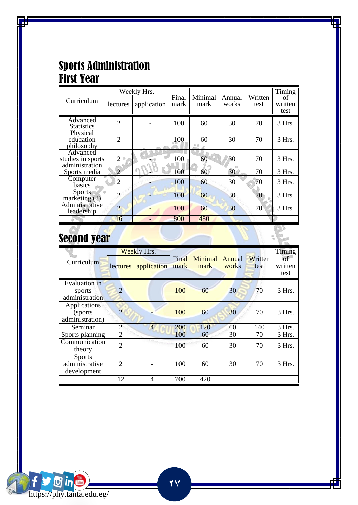#### Sports Administration First Year

|                                                 |                          | Weeklv Hrs. |               |                 |                 |                 | Timing                |
|-------------------------------------------------|--------------------------|-------------|---------------|-----------------|-----------------|-----------------|-----------------------|
| Curriculum                                      | <i>lectures</i>          | application | Final<br>mark | Minimal<br>mark | Annual<br>works | Written<br>test | of<br>written<br>test |
| Advanced<br><b>Statistics</b>                   | $\overline{c}$           |             | 100           | 60              | 30              | 70              | 3 Hrs.                |
| Physical<br>education<br>philosophy             | $\overline{c}$           |             | 100           | 60              | 30              | 70              | 3 Hrs.                |
| Advanced<br>studies in sports<br>administration | 2                        |             | 100           | 60              | 30              | 70              | $3$ Hrs.              |
| Sports media                                    | $\overline{\mathcal{L}}$ |             | 100           | 60              | 30              | 70              | 3 Hrs.                |
| Computer<br>basics                              | $\mathfrak{D}$           |             | 100           | 60              | 30              | 70              | $3$ Hrs.              |
| <b>Sports</b><br>marketing $(2)$                | $\overline{c}$           |             | 100           | 60              | 30              | 70              | 3 Hrs.                |
| Administrative<br>leadership                    | $\overline{2}$           |             | 100           | 60              | 30              | 70              | $3$ Hrs.              |
|                                                 | 16                       |             | 800           | 480             |                 |                 |                       |

# Second year

| Curriculum                                     | lectures       | Weekly Hrs.<br>application | Final<br>mark | Minimal<br>mark | Annual<br>works | Written<br>test | Timing<br>of<br>written<br>test |
|------------------------------------------------|----------------|----------------------------|---------------|-----------------|-----------------|-----------------|---------------------------------|
| Evaluation in<br>sports<br>administration      | $\overline{2}$ |                            | 100           | 60              | 30              | 70              | $3$ Hrs.                        |
| Applications<br>(sports)<br>administration)    | $\overline{2}$ |                            | 100           | 60              | 30              | 70              | $3$ Hrs.                        |
| Seminar                                        | $\overline{c}$ | $\overline{4}$             | 200           | 120             | 60              | 140             | 3 Hrs.                          |
| Sports planning                                | $\overline{c}$ |                            | 100           | 60              | 30              | 70              | 3 Hrs.                          |
| Communication<br>theory                        | $\mathfrak{D}$ |                            | 100           | 60              | 30              | 70              | $3$ Hrs.                        |
| <b>Sports</b><br>administrative<br>development | $\mathfrak{D}$ |                            | 100           | 60              | 30              | 70              | $3$ Hrs.                        |
|                                                | 12             | 4                          | 700           | 420             |                 |                 |                                 |

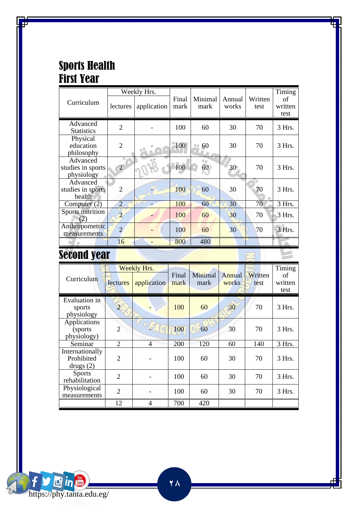#### Sports Health First Year

|                                             |                | Weekly Hrs. |               |                 |                 |                 | Timing                |
|---------------------------------------------|----------------|-------------|---------------|-----------------|-----------------|-----------------|-----------------------|
| Curriculum                                  | lectures       | application | Final<br>mark | Minimal<br>mark | Annual<br>works | Written<br>test | of<br>written<br>test |
| Advanced<br><b>Statistics</b>               | $\overline{2}$ |             | 100           | 60              | 30              | 70              | 3 Hrs.                |
| Physical<br>education<br>philosophy         | $\overline{2}$ |             | 100           | 60              | 30              | 70              | 3 Hrs.                |
| Advanced<br>studies in sports<br>physiology | $\overline{2}$ |             | 100           | $\circ$<br>60   | 30              | 70              | 3 Hrs.                |
| Advanced<br>studies in sports<br>health     | 2              |             | 100           | 60              | 30              | 70              | $3$ Hrs.              |
| Computer $(2)$                              | $\overline{2}$ |             | 100           | 60              | 30              | 70              | 3 Hrs.                |
| Sports nutrition<br>2                       | $\overline{2}$ |             | 100           | 60              | 30              | 70              | 3 Hrs.                |
| Anthropometric<br>measurements              | $\overline{2}$ |             | 100           | 60              | 30              | 70              | 3 Hrs.                |
|                                             | 16             |             | 800           | 480             |                 |                 |                       |

### Second year

| Curriculum                                | lectures       | Weekly Hrs.<br>application | Final<br>mark | Minimal<br>mark | Annual<br>works | Written<br>test | Timing<br>οf<br>written<br>test |
|-------------------------------------------|----------------|----------------------------|---------------|-----------------|-----------------|-----------------|---------------------------------|
| Evaluation in<br>sports<br>physiology     | $\overline{2}$ |                            | 100           | 60              | 30              | 70              | 3 Hrs.                          |
| Applications<br>(sports)<br>physiology)   | $\overline{2}$ |                            | 100           | 60              | 30              | 70              | 3 Hrs.                          |
| Seminar                                   | 2              | 4                          | 200           | 120             | 60              | 140             | 3 Hrs.                          |
| Internationally<br>Prohibited<br>drugs(2) | $\overline{2}$ |                            | 100           | 60              | 30              | 70              | $3$ Hrs.                        |
| <b>Sports</b><br>rehabilitation           | $\overline{2}$ |                            | 100           | 60              | 30              | 70              | 3 Hrs.                          |
| Physiological<br>measurements             | $\overline{c}$ |                            | 100           | 60              | 30              | 70              | 3 Hrs.                          |
|                                           | 12             | 4                          | 700           | 420             |                 |                 |                                 |

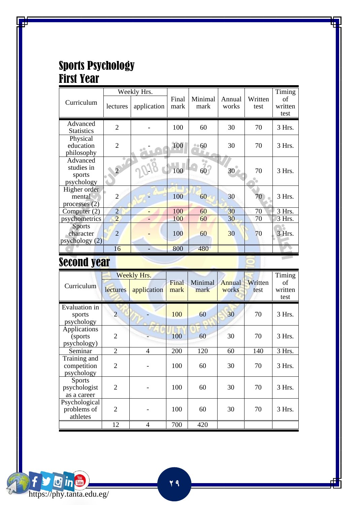#### Sports Psychology First Year

|                                                |                | Weekly Hrs. |               |                 |                 |                 | Timing                |
|------------------------------------------------|----------------|-------------|---------------|-----------------|-----------------|-----------------|-----------------------|
| Curriculum                                     | lectures       | application | Final<br>mark | Minimal<br>mark | Annual<br>works | Written<br>test | of<br>written<br>test |
| Advanced<br><b>Statistics</b>                  | $\overline{c}$ |             | 100           | 60              | 30              | 70              | 3 Hrs.                |
| Physical<br>education<br>philosophy            | $\overline{2}$ |             | 100           | •• 60           | 30              | 70              | 3 Hrs.                |
| Advanced<br>studies in<br>sports<br>psychology | $\overline{2}$ |             | 100           | 60              | 30              | 70              | $3$ Hrs.              |
| Higher order<br>mental<br>processes $(2)$      | 2              |             | 100           | 60              | 30              | 70              | 3 Hrs.                |
| Computer $(2)$                                 | $\overline{2}$ |             | 100           | 60              | 30              | 70              | 3 Hrs.                |
| psychometrics                                  | $\overline{2}$ |             | 100           | 60              | 30              | 70              | 3 Hrs.                |
| <b>Sports</b><br>character<br>psychology(2)    | $\overline{2}$ |             | 100           | 60              | 30              | 70              | 3 Hrs.                |
|                                                | 16             |             | 800           | 480             |                 |                 |                       |

### Second year

|                                              | Weekly Hrs.                 |             |               |                 |                 |                 | Timing                |
|----------------------------------------------|-----------------------------|-------------|---------------|-----------------|-----------------|-----------------|-----------------------|
| Curriculum                                   | lectures                    | application | Final<br>mark | Minimal<br>mark | Annual<br>works | Written<br>test | of<br>written<br>test |
| Evaluation in<br>sports<br>psychology        | $\overline{2}$              |             | 100           | 60              | 30              | 70              | 3 Hrs.                |
| Applications<br>(sports)<br>psychology)      | $\mathfrak{D}$              |             | 100           | 60              | 30              | 70              | 3 Hrs.                |
| Seminar                                      | $\mathfrak{D}$              | 4           | 200           | 120             | 60              | 140             | 3 Hrs.                |
| Training and<br>competition<br>psychology    | $\mathfrak{D}$              |             | 100           | 60              | 30              | 70              | 3 Hrs.                |
| <b>Sports</b><br>psychologist<br>as a career | $\mathfrak{D}$              |             | 100           | 60              | 30              | 70              | 3 Hrs.                |
| Psychological<br>problems of<br>athletes     | $\mathcal{D}_{\mathcal{A}}$ |             | 100           | 60              | 30              | 70              | 3 Hrs.                |
|                                              | 12                          | 4           | 700           | 420             |                 |                 |                       |

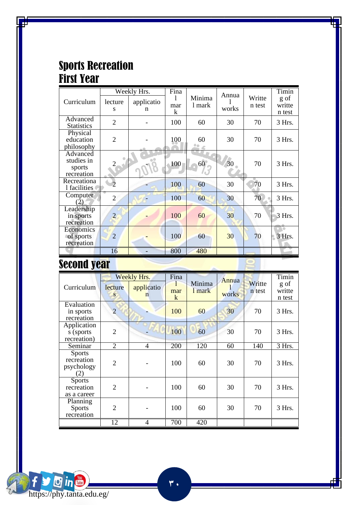#### Sports Recreation First Year

|                                                |                | Weekly Hrs. | Fina     |          | Annua |        | Timin            |
|------------------------------------------------|----------------|-------------|----------|----------|-------|--------|------------------|
| Curriculum                                     | lecture        | applicatio  | 1        | Minima   |       | Writte | g of             |
|                                                | S              | n           | mar<br>k | 1 mark   | works | n test | writte<br>n test |
| Advanced<br><b>Statistics</b>                  | $\overline{2}$ |             | 100      | 60       | 30    | 70     | 3 Hrs.           |
| Physical<br>education<br>philosophy            | $\mathfrak{D}$ |             | 100      | 60<br>8e | 30    | 70     | 3 Hrs.           |
| Advanced<br>studies in<br>sports<br>recreation |                |             | 100      | 60       | 30    | 70     | 3 Hrs.           |
| Recreationa<br>1 facilities                    |                |             | 100      | 60       | 30    | 70     | 3 Hrs.           |
| Computer<br>(2)                                | $\overline{c}$ |             | 100      | 60       | 30    | 70     | 3 Hrs.           |
| Leadership<br>in sports<br>recreation          | $\overline{c}$ |             | 100      | 60       | 30    | 70     | 3 Hrs.           |
| Economics<br>of sports<br>recreation           | $\overline{2}$ |             | 100      | 60       | 30    | 70     | 3 Hrs.           |
|                                                | 16             |             | 800      | 480      |       |        |                  |

### Second year

|                                                  | Weekly Hrs.    |                 | Fina          |                  | Annua |                  | Timin                    |
|--------------------------------------------------|----------------|-----------------|---------------|------------------|-------|------------------|--------------------------|
| Curriculum                                       | lecture<br>S   | applicatio<br>n | 1<br>mar<br>k | Minima<br>1 mark | works | Writte<br>n test | g of<br>writte<br>n test |
| Evaluation<br>in sports<br>recreation            | $\overline{2}$ |                 | 100           | 60               | 30    | 70               | 3 Hrs.                   |
| Application<br>s (sports<br>recreation)          | $\overline{2}$ |                 | 100           | 60               | 30    | 70               | 3 Hrs.                   |
| Seminar                                          | $\overline{2}$ | 4               | 200           | 120              | 60    | 140              | 3 Hrs.                   |
| <b>Sports</b><br>recreation<br>psychology<br>(2) | $\overline{2}$ |                 | 100           | 60               | 30    | 70               | 3 Hrs.                   |
| <b>Sports</b><br>recreation<br>as a career       | 2              |                 | 100           | 60               | 30    | 70               | 3 Hrs.                   |
| Planning<br><b>Sports</b><br>recreation          | $\mathfrak{D}$ |                 | 100           | 60               | 30    | 70               | 3 Hrs.                   |
|                                                  | 12             | 4               | 700           | 420              |       |                  |                          |

 $\overline{r}$ .

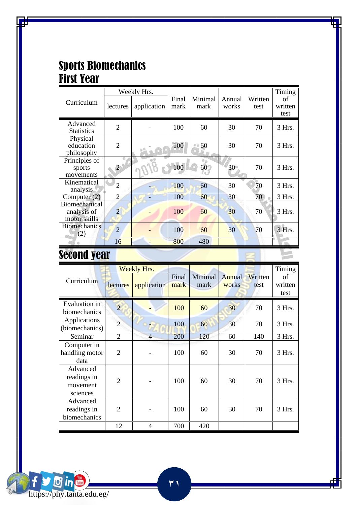### Sports Biomechanics First Year

|                                              | Weekly Hrs.    |             |               |                 |                 |                 | Timing                |
|----------------------------------------------|----------------|-------------|---------------|-----------------|-----------------|-----------------|-----------------------|
| Curriculum                                   | lectures       | application | Final<br>mark | Minimal<br>mark | Annual<br>works | Written<br>test | of<br>written<br>test |
| Advanced<br><b>Statistics</b>                | $\overline{2}$ |             | 100           | 60              | 30              | 70              | 3 Hrs.                |
| Physical<br>education<br>philosophy          | $\overline{2}$ |             | 100           | 60              | 30              | 70              | $3$ Hrs.              |
| Principles of<br>sports<br>movements         | $\overline{2}$ |             | 100           | 0a<br>60        | 30              | 70              | 3 Hrs.                |
| Kinematical<br>analysis                      | $\overline{2}$ |             | 100           | 60              | 30              | 70              | $3$ Hrs.              |
| Computer $(2)$                               | $\overline{2}$ |             | 100           | 60              | 30              | 70              | 3 Hrs.                |
| Biomechanical<br>analysis of<br>motor skills | $\overline{2}$ |             | 100           | 60              | 30              | 70              | 3 Hrs.                |
| <b>Biomechanics</b><br>(2)                   | $\overline{2}$ |             | 100           | 60              | 30              | 70              | 3 Hrs.                |
|                                              | 16             |             | 800           | 480             |                 |                 |                       |

**Design** 

### Second year

|                                | Weekly Hrs.                                                                                                                                                                                                                          |                |               |                 |                 |                 | Timing                |
|--------------------------------|--------------------------------------------------------------------------------------------------------------------------------------------------------------------------------------------------------------------------------------|----------------|---------------|-----------------|-----------------|-----------------|-----------------------|
| Curriculum                     | lectures<br>$\overline{2}$<br>$\overline{2}$<br>$\overline{2}$<br>Seminar<br>Computer in<br>$\overline{2}$<br>data<br>Advanced<br>readings in<br>$\overline{2}$<br>movement<br>sciences<br>Advanced<br>$\overline{2}$<br>readings in | application    | Final<br>mark | Minimal<br>mark | Annual<br>works | Written<br>test | of<br>written<br>test |
| Evaluation in<br>biomechanics  |                                                                                                                                                                                                                                      |                | 100           | 60              | 30              | 70              | 3 Hrs.                |
| Applications<br>(biomechanics) |                                                                                                                                                                                                                                      |                | 100           | 60              | 30              | 70              | 3 Hrs.                |
|                                |                                                                                                                                                                                                                                      | $\overline{4}$ | 200           | 120             | 60              | 140             | 3 Hrs.                |
| handling motor                 |                                                                                                                                                                                                                                      |                | 100           | 60              | 30              | 70              | 3 Hrs.                |
|                                |                                                                                                                                                                                                                                      |                | 100           | 60              | 30              | 70              | 3 Hrs.                |
| biomechanics                   |                                                                                                                                                                                                                                      |                | 100           | 60              | 30              | 70              | 3 Hrs.                |
|                                | 12                                                                                                                                                                                                                                   | 4              | 700           | 420             |                 |                 |                       |

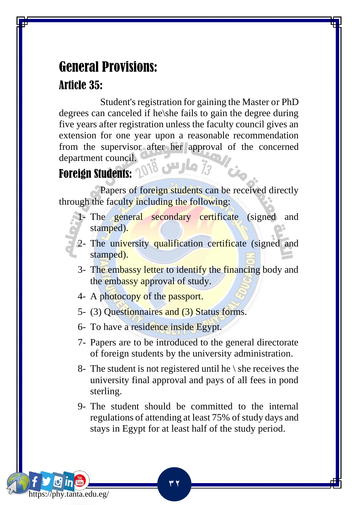## General Provisions: Article 35:

 Student's registration for gaining the Master or PhD degrees can canceled if he\she fails to gain the degree during five years after registration unless the faculty council gives an extension for one year upon a reasonable recommendation from the supervisor after her approval of the concerned department council. Foreign Students: 1018 July 13

https://phy.tanta.edu.eg/

 Papers of foreign students can be received directly through the faculty including the following:

- 1- The general secondary certificate (signed and stamped).
- 2- The university qualification certificate (signed and stamped).
	- 3- The embassy letter to identify the financing body and the embassy approval of study.
	- 4- A photocopy of the passport.
	- 5- (3) Questionnaires and (3) Status forms.
	- 6- To have a residence inside Egypt.
	- 7- Papers are to be introduced to the general directorate of foreign students by the university administration.
	- 8- The student is not registered until he  $\setminus$  she receives the university final approval and pays of all fees in pond sterling.
	- 9- The student should be committed to the internal regulations of attending at least 75% of study days and stays in Egypt for at least half of the study period.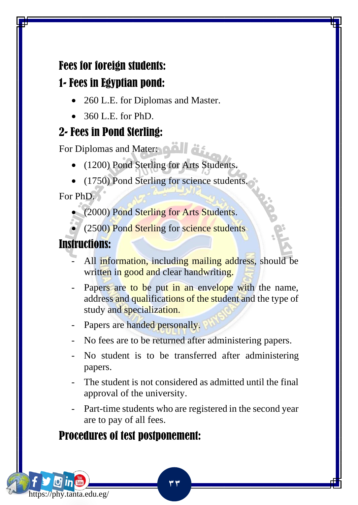### Fees for foreign students:

### 1- Fees in Egyptian pond:

- 260 L.E. for Diplomas and Master.
- 360 L.E. for PhD.

### 2- Fees in Pond Sterling:

For Diplomas and Mater:

- (1200) Pond Sterling for Arts Students.
- (1750) Pond Sterling for science students.

For PhD.

• (2000) Pond Sterling for Arts Students.

(2500) Pond Sterling for science students

### Instructions:

https://phy.tanta.edu.eg/

- All information, including mailing address, should be written in good and clear handwriting.
- Papers are to be put in an envelope with the name, address and qualifications of the student and the type of study and specialization.
- Papers are handed personally.
- No fees are to be returned after administering papers.
- No student is to be transferred after administering papers.
- The student is not considered as admitted until the final approval of the university.
- Part-time students who are registered in the second year are to pay of all fees.

**33**

### Procedures of test postponement: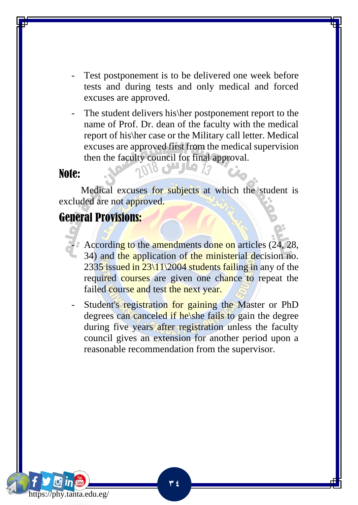- Test postponement is to be delivered one week before tests and during tests and only medical and forced excuses are approved.
- The student delivers his her postponement report to the name of Prof. Dr. dean of the faculty with the medical report of his\her case or the Military call letter. Medical excuses are approved first from the medical supervision then the faculty council for final approval.

#### Note:

 Medical excuses for subjects at which the student is excluded are not approved.

 $\mathcal{R}$  and  $\mathcal{R}$ 

#### General Provisions:

- According to the amendments done on articles (24, 28, 34) and the application of the ministerial decision no. 2335 issued in  $23\frac{11}{2004}$  students failing in any of the required courses are given one chance to repeat the failed course and test the next year.
- Student's registration for gaining the Master or PhD degrees can canceled if he\she fails to gain the degree during five years after registration unless the faculty council gives an extension for another period upon a reasonable recommendation from the supervisor.

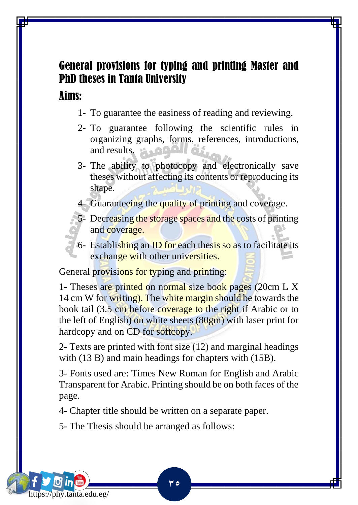### General provisions for typing and printing Master and PhD theses in Tanta University

#### Aims:

https://phy.tanta.edu.eg/

- 1- To guarantee the easiness of reading and reviewing.
- 2- To guarantee following the scientific rules in organizing graphs, forms, references, introductions, and results.
- 3- The ability to photocopy and electronically save theses without affecting its contents or reproducing its shape.
- 4- Guaranteeing the quality of printing and coverage.
- 5- Decreasing the storage spaces and the costs of printing and coverage.
- 6- Establishing an ID for each thesis so as to facilitate its exchange with other universities.

General provisions for typing and printing:

1- Theses are printed on normal size book pages (20cm L X 14 cm W for writing). The white margin should be towards the book tail (3.5 cm before coverage to the right if Arabic or to the left of English) on white sheets (80gm) with laser print for hardcopy and on CD for softcopy.

2- Texts are printed with font size (12) and marginal headings with (13 B) and main headings for chapters with (15B).

3- Fonts used are: Times New Roman for English and Arabic Transparent for Arabic. Printing should be on both faces of the page.

**35**

4- Chapter title should be written on a separate paper.

5- The Thesis should be arranged as follows: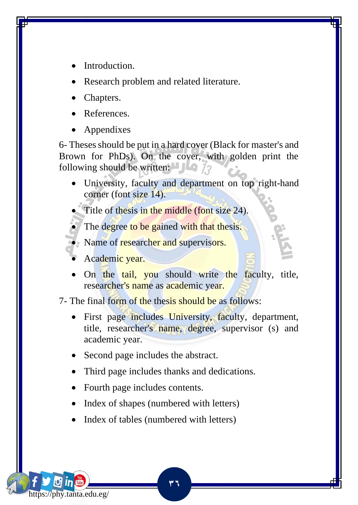- Introduction.
- Research problem and related literature.
- Chapters.
- References.
- Appendixes

6- Theses should be put in a hard cover (Black for master's and Brown for PhDs). On the cover, with golden print the following should be written:  $\Box$ 

• University, faculty and department on top right-hand corner (font size 14).

Title of thesis in the middle (font size 24).

The degree to be gained with that thesis.

- Name of researcher and supervisors.
- Academic year.

https://phy.tanta.edu.eg/

• On the tail, you should write the faculty, title, researcher's name as academic year.

7- The final form of the thesis should be as follows:

- First page includes University, faculty, department, title, researcher's name, degree, supervisor (s) and academic year.
- Second page includes the abstract.
- Third page includes thanks and dedications.

- Fourth page includes contents.
- Index of shapes (numbered with letters)
- Index of tables (numbered with letters)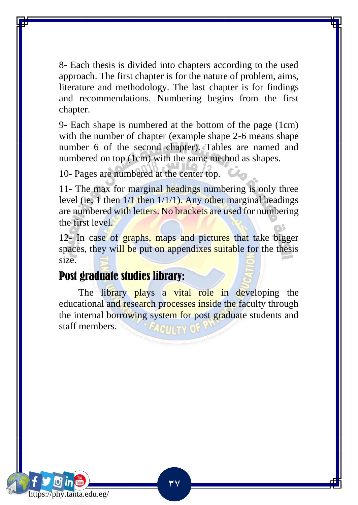8- Each thesis is divided into chapters according to the used approach. The first chapter is for the nature of problem, aims, literature and methodology. The last chapter is for findings and recommendations. Numbering begins from the first chapter.

9- Each shape is numbered at the bottom of the page (1cm) with the number of chapter (example shape 2-6 means shape number 6 of the second chapter). Tables are named and numbered on top (1cm) with the same method as shapes.

10- Pages are numbered at the center top.

11- The max for marginal headings numbering is only three level (ie; 1 then  $1/1$  then  $1/1/1$ ). Any other marginal headings are numbered with letters. No brackets are used for numbering the first level.

12- In case of **graphs**, maps and pictures that take bigger spaces, they will be put on appendixes suitable for the thesis size.

#### Post graduate studies library:

The library plays a vital role in developing the educational and research processes inside the faculty through the internal borrowing system for post graduate students and staff members.

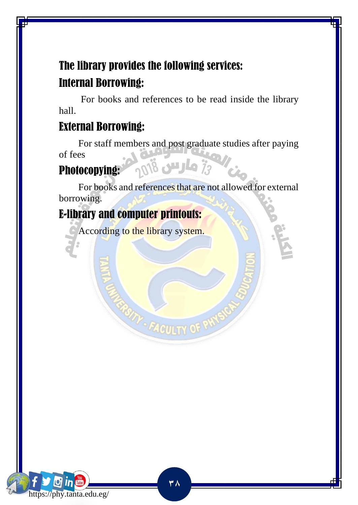### The library provides the following services: Internal Borrowing:

 For books and references to be read inside the library hall.

#### External Borrowing:

 For staff members and post graduate studies after paying of fees  $\frac{1}{2}$ وارس  $\frac{3}{2}$ 

#### Photocopying:

 For books and references that are not allowed for external borrowing.

### E-library and computer printouts:

According to the library system.

**TTY - FACULTY O** 

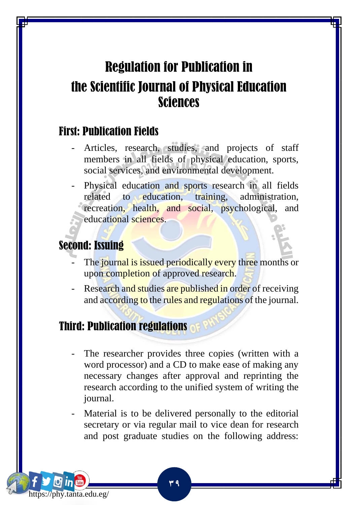### Regulation for Publication in the Scientific Journal of Physical Education Sciences

#### First: Publication Fields

- Articles, research, studies, and projects of staff members in all fields of physical education, sports, social services, and environmental development.
- Physical education and sports research in all fields related to education, training, administration, recreation, health, and social, psychological, and educational sciences.

#### Second: Issuing

https://phy.tanta.edu.eg/

- The journal is issued periodically every three months or upon completion of approved research.
- Research and studies are published in order of receiving and according to the rules and regulations of the journal.

### Third: Publication regulations

- The researcher provides three copies (written with a word processor) and a CD to make ease of making any necessary changes after approval and reprinting the research according to the unified system of writing the journal.
- Material is to be delivered personally to the editorial secretary or via regular mail to vice dean for research and post graduate studies on the following address: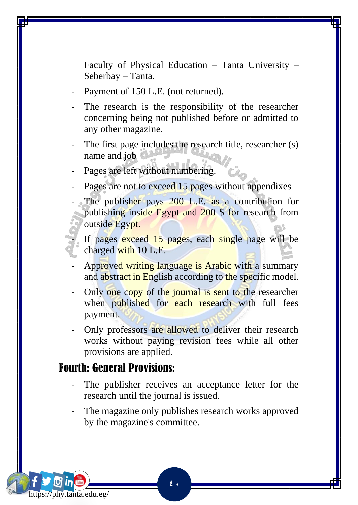Faculty of Physical Education – Tanta University – Seberbay – Tanta.

- Payment of 150 L.E. (not returned).
- The research is the responsibility of the researcher concerning being not published before or admitted to any other magazine.
- The first page includes the research title, researcher (s) name and job
- Pages are left without numbering.
- Pages are not to exceed 15 pages without appendixes
- The publisher pays 200 L.E. as a contribution for publishing inside Egypt and 200 \$ for research from outside Egypt.

If pages exceed 15 pages, each single page will be charged with 10 L.E.

- Approved writing language is Arabic with a summary and abstract in English according to the specific model.
- Only one copy of the journal is sent to the researcher when published for each research with full fees payment.
- Only professors are allowed to deliver their research works without paying revision fees while all other provisions are applied.

#### Fourth: General Provisions:

https://phy.tanta.edu.eg/

- The publisher receives an acceptance letter for the research until the journal is issued.
- The magazine only publishes research works approved by the magazine's committee.